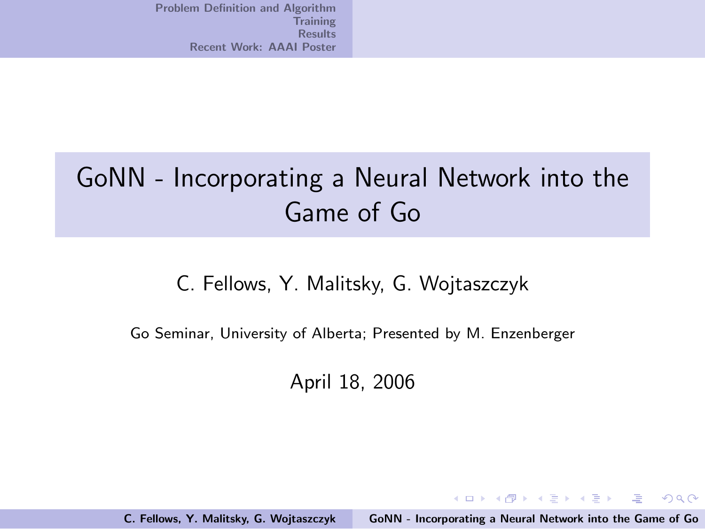## GoNN - Incorporating a Neural Network into the Game of Go

#### C. Fellows, Y. Malitsky, G. Wojtaszczyk

Go Seminar, University of Alberta; Presented by M. Enzenberger

April 18, 2006

C. Fellows, Y. Malitsky, G. Wojtaszczyk [GoNN - Incorporating a Neural Network into the Game of Go](#page-15-0)

<span id="page-0-0"></span>イロン イ団ン イミン イモンド 走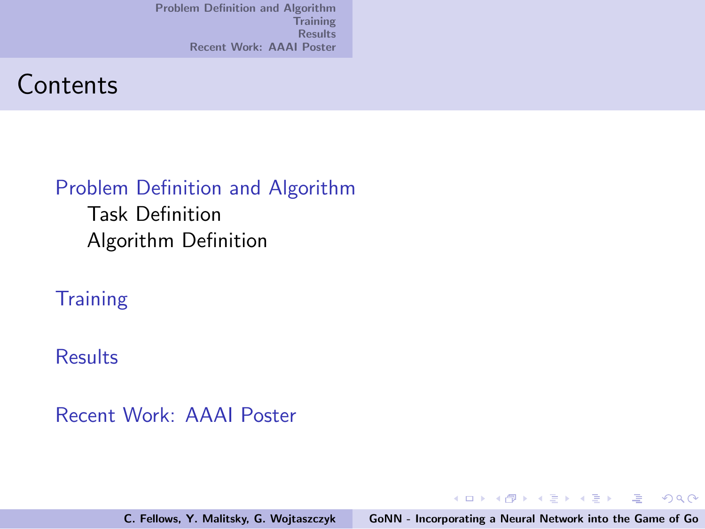### **Contents**

#### [Problem Definition and Algorithm](#page-2-0)

[Task Definition](#page-2-0) [Algorithm Definition](#page-5-0)

#### **[Training](#page-11-0)**

#### **[Results](#page-12-0)**

#### [Recent Work: AAAI Poster](#page-14-0)

C. Fellows, Y. Malitsky, G. Wojtaszczyk [GoNN - Incorporating a Neural Network into the Game of Go](#page-0-0)

イロト イ団 トメ ミト メ ミト

(重)  $299$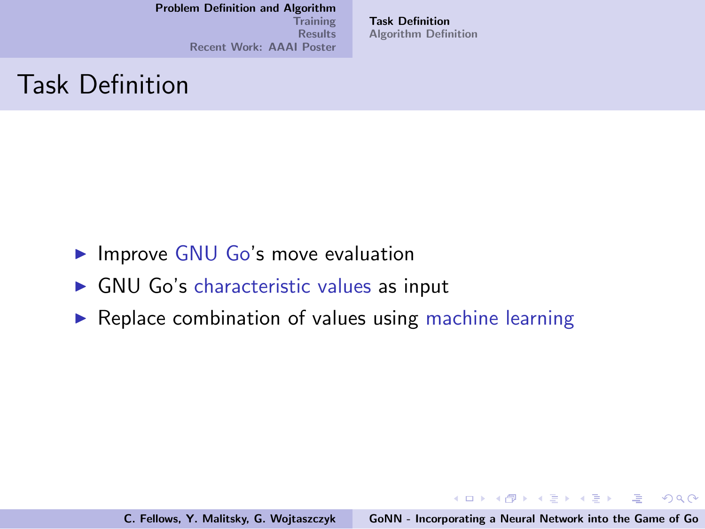[Training](#page-11-0) **[Results](#page-12-0)** [Recent Work: AAAI Poster](#page-14-0) [Task Definition](#page-2-0) [Algorithm Definition](#page-5-0)

### Task Definition

- $\blacktriangleright$  Improve GNU Go's move evaluation
- $\triangleright$  GNU Go's characteristic values as input
- $\triangleright$  Replace combination of values using machine learning

<span id="page-2-0"></span>イロメ イ団 メイミメ イモメー 走っ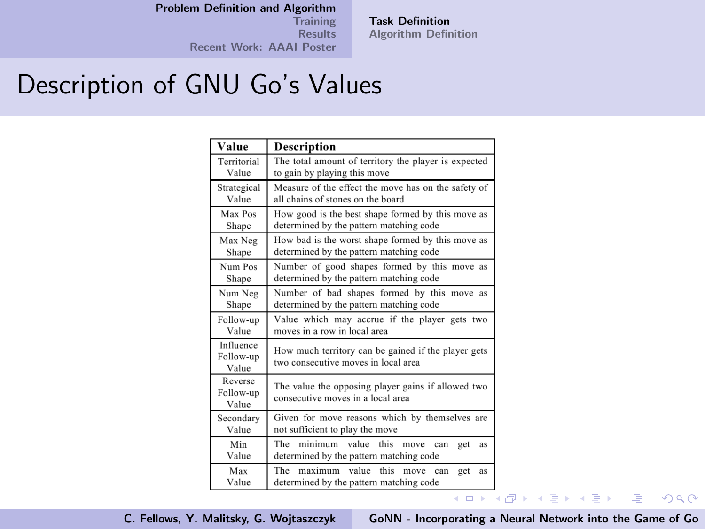**[Training](#page-11-0) [Results](#page-12-0)** [Recent Work: AAAI Poster](#page-14-0)

[Task Definition](#page-2-0) [Algorithm Definition](#page-5-0)

## Description of GNU Go's Values

| Value                           | Description                                                                                |
|---------------------------------|--------------------------------------------------------------------------------------------|
| Territorial                     | The total amount of territory the player is expected                                       |
| Value                           | to gain by playing this move                                                               |
| Strategical                     | Measure of the effect the move has on the safety of                                        |
| Value                           | all chains of stones on the board                                                          |
| Max Pos                         | How good is the best shape formed by this move as                                          |
| Shape                           | determined by the pattern matching code                                                    |
| Max Neg                         | How bad is the worst shape formed by this move as                                          |
| Shape                           | determined by the pattern matching code                                                    |
| Num Pos                         | Number of good shapes formed by this move as                                               |
| Shape                           | determined by the pattern matching code                                                    |
| Num Neg                         | Number of bad shapes formed by this move as                                                |
| Shape                           | determined by the pattern matching code                                                    |
| Follow-up                       | Value which may accrue if the player gets two                                              |
| Value                           | moves in a row in local area                                                               |
| Influence<br>Follow-up<br>Value | How much territory can be gained if the player gets<br>two consecutive moves in local area |
| Reverse<br>Follow-up<br>Value   | The value the opposing player gains if allowed two<br>consecutive moves in a local area    |
| Secondary                       | Given for move reasons which by themselves are                                             |
| Value                           | not sufficient to play the move                                                            |
| Min<br>Value                    | The<br>minimum value this move can<br>get<br>as<br>determined by the pattern matching code |
| Max<br>Value                    | The maximum value this move can<br>get<br>as<br>determined by the pattern matching code    |

C. Fellows, Y. Malitsky, G. Wojtaszczyk [GoNN - Incorporating a Neural Network into the Game of Go](#page-0-0)

 $QQ$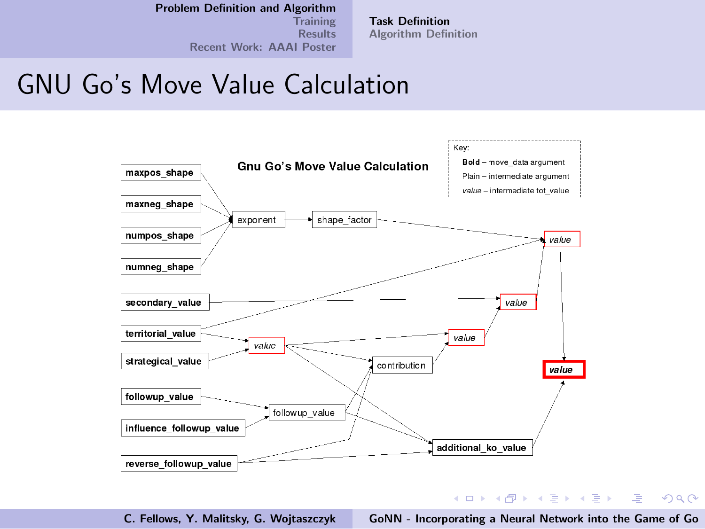[Training](#page-11-0) **[Results](#page-12-0)** [Recent Work: AAAI Poster](#page-14-0) [Task Definition](#page-2-0) [Algorithm Definition](#page-5-0)

## GNU Go's Move Value Calculation



C. Fellows, Y. Malitsky, G. Wojtaszczyk [GoNN - Incorporating a Neural Network into the Game of Go](#page-0-0)

 $2Q$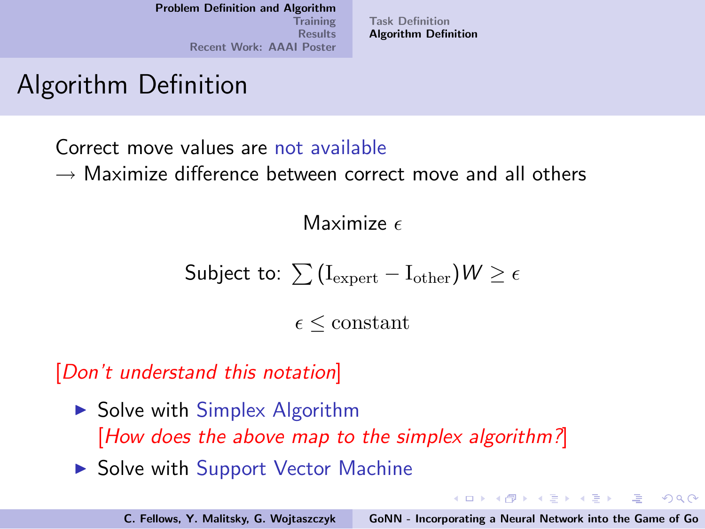[Task Definition](#page-2-0) [Algorithm Definition](#page-5-0)

## Algorithm Definition

Correct move values are not available

 $\rightarrow$  Maximize difference between correct move and all others

Maximize  $\epsilon$ 

$$
\textsf{Subject to: } \sum\left(\text{I}_{\text{expert}} - \text{I}_{\text{other}}\right) \mathcal{W} \geq \epsilon
$$

 $\epsilon \leq$  constant

[Don't understand this notation]

- $\triangleright$  Solve with Simplex Algorithm [How does the above map to the simplex algorithm?]
- $\triangleright$  Solve with Support Vector Machine

イロメ イ部メ イヨメ イヨメー

<span id="page-5-0"></span> $\Rightarrow$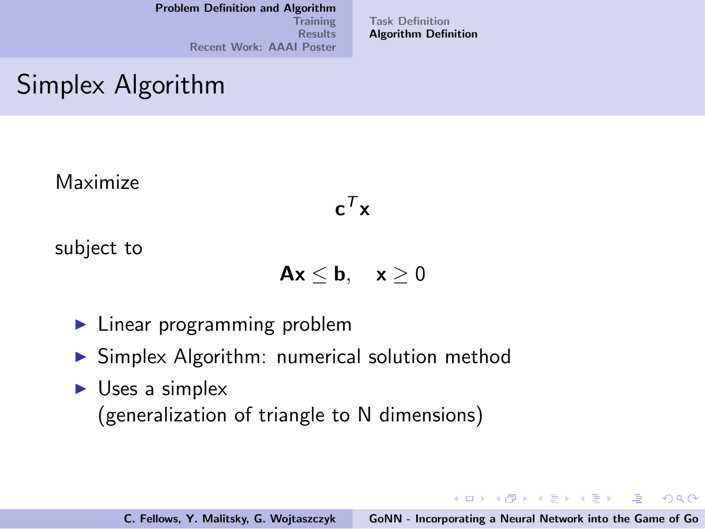[Training](#page-11-0) [Results](#page-12-0) [Recent Work: AAAI Poster](#page-14-0) [Task Definition](#page-2-0) [Algorithm Definition](#page-5-0)

## Simplex Algorithm

Maximize

 $\mathbf{c}^{\mathcal{T}}\mathbf{x}$ 

subject to

 $Ax < b$ ,  $x > 0$ 

- $\blacktriangleright$  Linear programming problem
- $\triangleright$  Simplex Algorithm: numerical solution method
- $\triangleright$  Uses a simplex (generalization of triangle to N dimensions)

K ロ ▶ K @ ▶ K 글 ▶ K 글 ▶ → 글 → K) Q Q →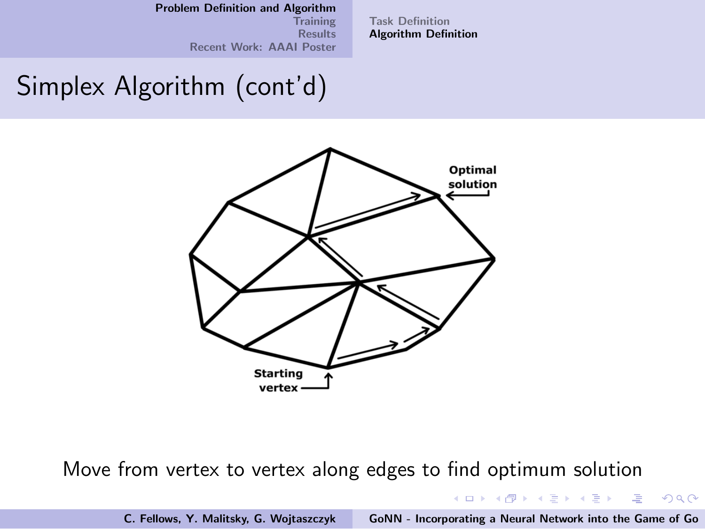[Training](#page-11-0) **[Results](#page-12-0)** [Recent Work: AAAI Poster](#page-14-0) [Task Definition](#page-2-0) [Algorithm Definition](#page-5-0)

## Simplex Algorithm (cont'd)



Move from vertex to vertex along edges to find optimum solution

イロメ イ部メ イヨメ イヨメー

 $\equiv$ 

 $299$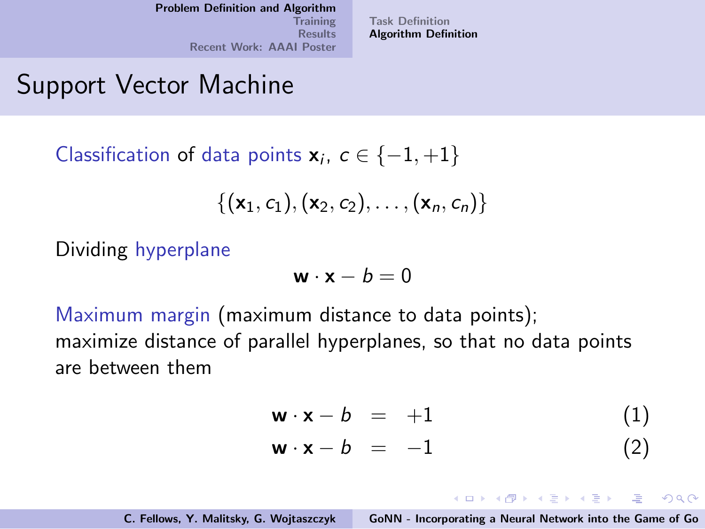[Task Definition](#page-2-0) [Algorithm Definition](#page-5-0)

## Support Vector Machine

Classification of data points  $\mathbf{x}_i, c \in \{-1, +1\}$ 

$$
\{(\mathbf{x}_1,c_1),(\mathbf{x}_2,c_2),\ldots,(\mathbf{x}_n,c_n)\}
$$

Dividing hyperplane

$$
\mathbf{w} \cdot \mathbf{x} - b = 0
$$

Maximum margin (maximum distance to data points); maximize distance of parallel hyperplanes, so that no data points are between them

$$
\mathbf{w} \cdot \mathbf{x} - b = +1 \tag{1}
$$

$$
\mathbf{w} \cdot \mathbf{x} - b = -1 \tag{2}
$$

K ロ ▶ K @ ▶ K 할 > K 할 > 1 할 | X 9 Q @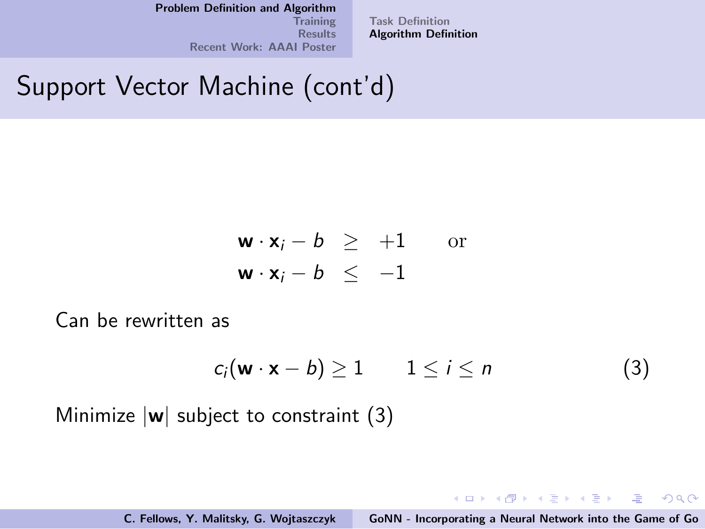**[Training](#page-11-0) [Results](#page-12-0)** [Recent Work: AAAI Poster](#page-14-0) [Task Definition](#page-2-0) [Algorithm Definition](#page-5-0)

# Support Vector Machine (cont'd)

$$
\begin{array}{rcl}\n\mathbf{w} \cdot \mathbf{x}_i - b & \geq & +1 \qquad \text{or} \\
\mathbf{w} \cdot \mathbf{x}_i - b & \leq & -1\n\end{array}
$$

Can be rewritten as

<span id="page-9-0"></span>
$$
c_i(\mathbf{w} \cdot \mathbf{x} - b) \ge 1 \qquad 1 \le i \le n \tag{3}
$$

イロン イ団ン イミン イモンド 走

 $2Q$ 

Minimize  $|w|$  subject to constraint [\(3\)](#page-9-0)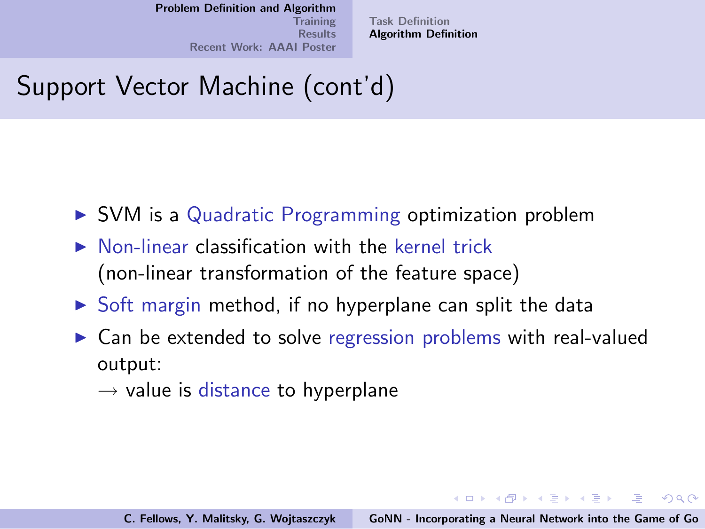[Task Definition](#page-2-0) [Algorithm Definition](#page-5-0)

# Support Vector Machine (cont'd)

- $\triangleright$  SVM is a Quadratic Programming optimization problem
- $\triangleright$  Non-linear classification with the kernel trick (non-linear transformation of the feature space)
- $\triangleright$  Soft margin method, if no hyperplane can split the data
- $\triangleright$  Can be extended to solve regression problems with real-valued output:
	- $\rightarrow$  value is distance to hyperplane

**KIT A REAL AREA CREATED**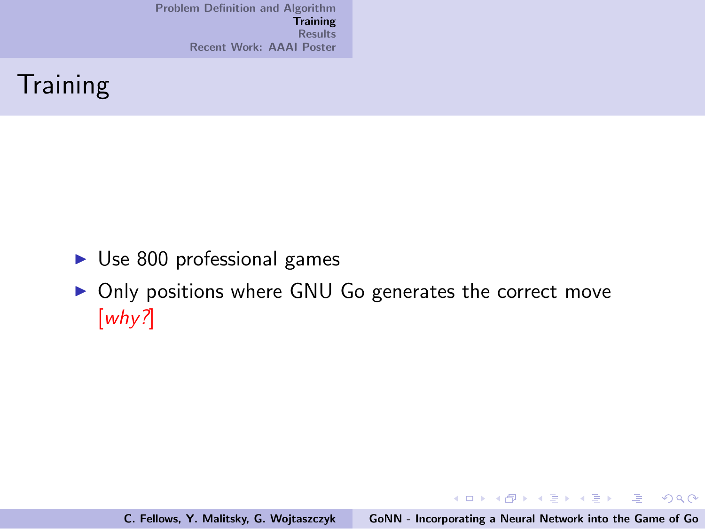## **Training**

- $\triangleright$  Use 800 professional games
- Only positions where GNU Go generates the correct move [why?]

イロメ イ御メ イヨメ イヨメー

重

<span id="page-11-0"></span> $2Q$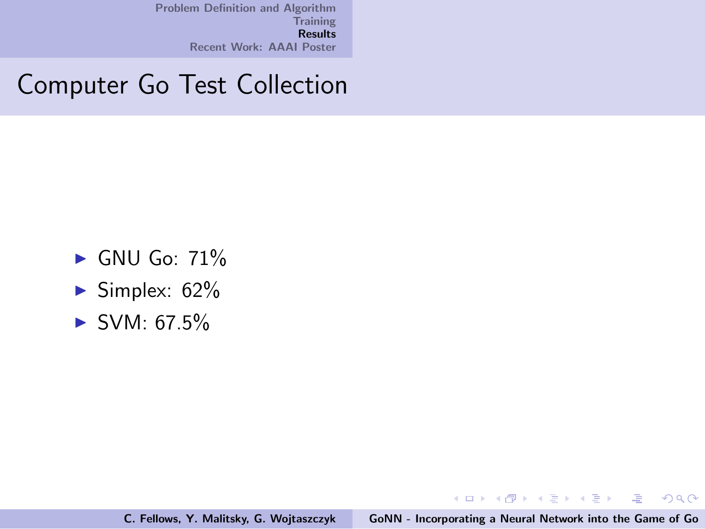## Computer Go Test Collection

- $\blacktriangleright$  GNU Go: 71%
- $\blacktriangleright$  Simplex: 62%
- $\blacktriangleright$  SVM: 67.5%

イロメ イ部メ イヨメ イヨメー

画

<span id="page-12-0"></span> $2Q$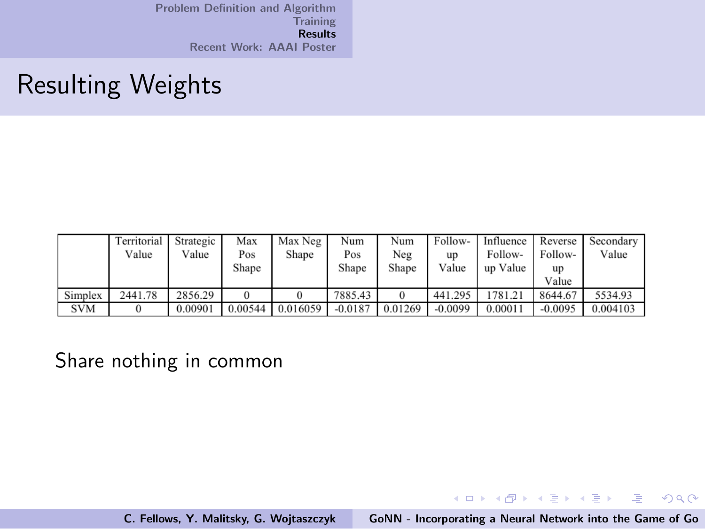## Resulting Weights

|            | Territorial<br>Value | Strategic<br>Value | Max<br>Pos | Max Neg<br>Shape | Num<br>Pos | Num<br>Neg | Follow-<br>up | Influence<br>Follow- | Reverse<br>Follow- | Secondary<br>Value |
|------------|----------------------|--------------------|------------|------------------|------------|------------|---------------|----------------------|--------------------|--------------------|
|            |                      |                    | Shape      |                  | Shape      | Shape      | Value         | up Value             | up<br>Value        |                    |
| Simplex    | 2441.78              | 2856.29            |            |                  | 7885.43    |            | 441.295       | 1781.21              | 8644.67            | 5534.93            |
| <b>SVM</b> |                      | 0.00901            | 0.00544    | 0.016059         | $-0.0187$  | 0.01269    | $-0.0099$     | 0.00011              | $-0.0095$          | 0.004103           |

#### Share nothing in common

C. Fellows, Y. Malitsky, G. Wojtaszczyk [GoNN - Incorporating a Neural Network into the Game of Go](#page-0-0)

イロト イ団 トメ ミト メ ミト

(重)  $299$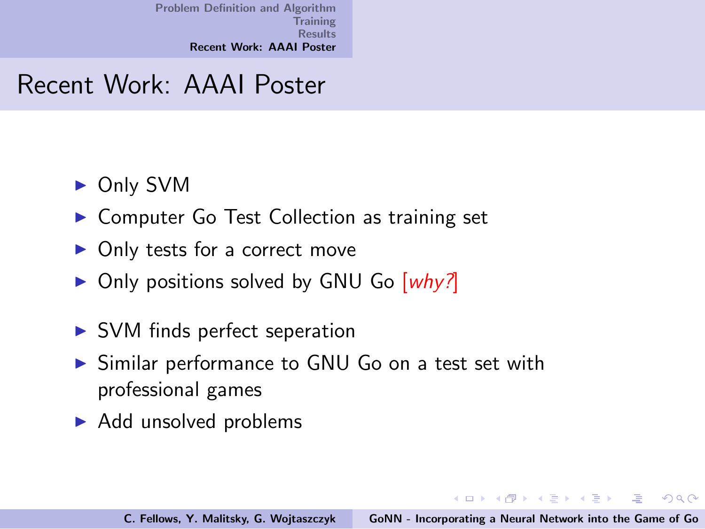### Recent Work: AAAI Poster

- ▶ Only SVM
- ▶ Computer Go Test Collection as training set
- $\triangleright$  Only tests for a correct move
- $\triangleright$  Only positions solved by GNU Go [why?]
- $\triangleright$  SVM finds perfect seperation
- ▶ Similar performance to GNU Go on a test set with professional games
- $\blacktriangleright$  Add unsolved problems

イロメ イ御メ イヨメ イヨメー

<span id="page-14-0"></span> $\equiv$